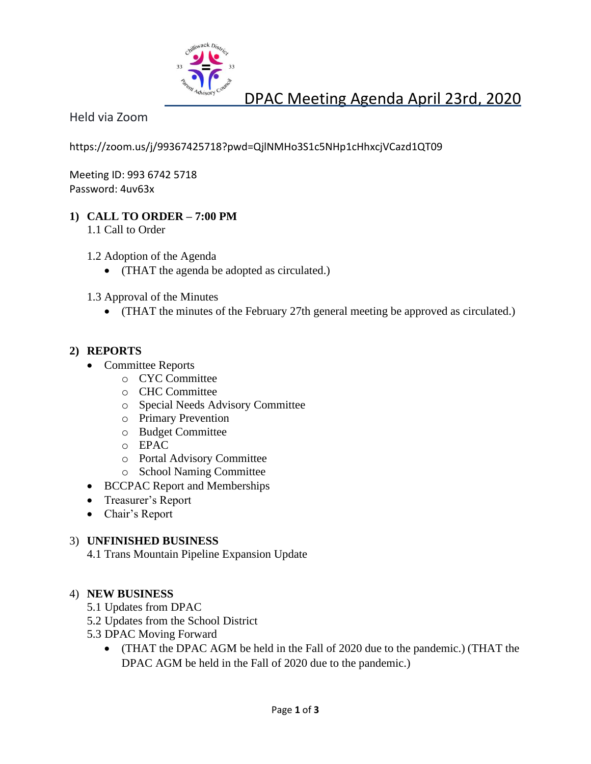

# DPAC Meeting Agenda April 23rd, 2020

Held via Zoom

https://zoom.us/j/99367425718?pwd=QjlNMHo3S1c5NHp1cHhxcjVCazd1QT09

Meeting ID: 993 6742 5718 Password: 4uv63x

## **1) CALL TO ORDER – 7:00 PM**

1.1 Call to Order

1.2 Adoption of the Agenda

- (THAT the agenda be adopted as circulated.)
- 1.3 Approval of the Minutes
	- (THAT the minutes of the February 27th general meeting be approved as circulated.)

## **2) REPORTS**

- Committee Reports
	- o CYC Committee
		- o CHC Committee
		- o Special Needs Advisory Committee
		- o Primary Prevention
		- o Budget Committee
		- o EPAC
		- o Portal Advisory Committee
		- o School Naming Committee
- BCCPAC Report and Memberships
- Treasurer's Report
- Chair's Report

### 3) **UNFINISHED BUSINESS**

4.1 Trans Mountain Pipeline Expansion Update

### 4) **NEW BUSINESS**

- 5.1 Updates from DPAC
- 5.2 Updates from the School District
- 5.3 DPAC Moving Forward
	- (THAT the DPAC AGM be held in the Fall of 2020 due to the pandemic.) (THAT the DPAC AGM be held in the Fall of 2020 due to the pandemic.)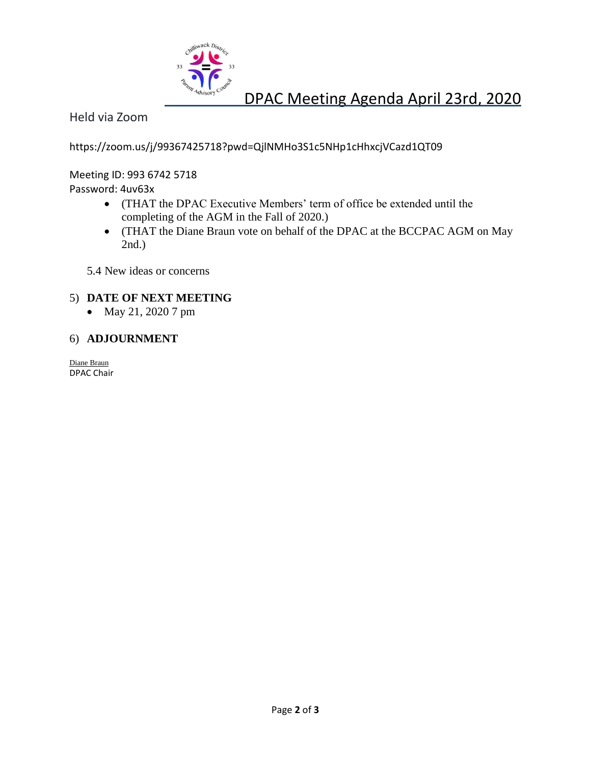

# DPAC Meeting Agenda April 23rd, 2020

Held via Zoom

https://zoom.us/j/99367425718?pwd=QjlNMHo3S1c5NHp1cHhxcjVCazd1QT09

Meeting ID: 993 6742 5718 Password: 4uv63x

- (THAT the DPAC Executive Members' term of office be extended until the completing of the AGM in the Fall of 2020.)
- (THAT the Diane Braun vote on behalf of the DPAC at the BCCPAC AGM on May 2nd.)

5.4 New ideas or concerns

## 5) **DATE OF NEXT MEETING**

• May 21, 2020 7 pm

#### 6) **ADJOURNMENT**

Diane Braun DPAC Chair